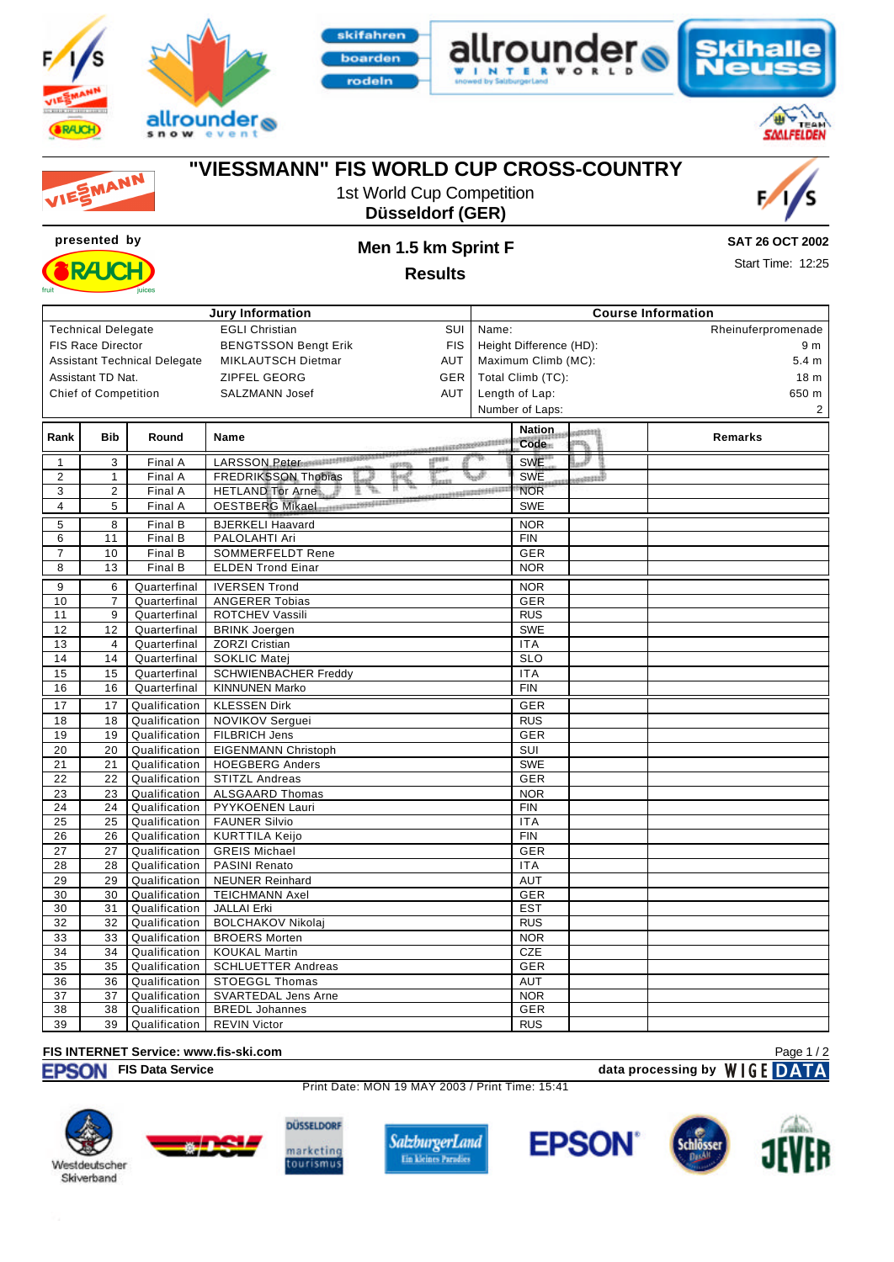



**presented by Men 1.5 km Sprint F**











**RAK** 

# **"VIESSMANN" FIS WORLD CUP CROSS-COUNTRY**





**SAT 26 OCT 2002**

Start Time: 12:25

**Results**

| Jury Information                                                      |                           |               |                                                                            | <b>Course Information</b>         |                     |        |                    |  |  |  |
|-----------------------------------------------------------------------|---------------------------|---------------|----------------------------------------------------------------------------|-----------------------------------|---------------------|--------|--------------------|--|--|--|
|                                                                       | <b>Technical Delegate</b> |               | <b>EGLI Christian</b><br>SUI                                               | Name:                             |                     |        | Rheinuferpromenade |  |  |  |
| <b>FIS Race Director</b><br><b>BENGTSSON Bengt Erik</b><br><b>FIS</b> |                           |               | Height Difference (HD):                                                    | 9 m                               |                     |        |                    |  |  |  |
| <b>Assistant Technical Delegate</b>                                   |                           |               | MIKLAUTSCH Dietmar<br>AUT                                                  |                                   | Maximum Climb (MC): |        | 5.4 <sub>m</sub>   |  |  |  |
|                                                                       | Assistant TD Nat.         |               | <b>ZIPFEL GEORG</b><br>GER                                                 | Total Climb (TC):                 |                     |        | 18 <sub>m</sub>    |  |  |  |
|                                                                       |                           |               | <b>AUT</b><br><b>SALZMANN Josef</b>                                        |                                   |                     |        | 650 m              |  |  |  |
| <b>Chief of Competition</b>                                           |                           |               |                                                                            | Length of Lap:<br>Number of Laps: |                     |        | 2                  |  |  |  |
|                                                                       |                           |               |                                                                            |                                   |                     |        |                    |  |  |  |
| Rank                                                                  | <b>Bib</b>                | Round         | <b>Name</b>                                                                |                                   | Nation.             | dsseng | Remarks            |  |  |  |
|                                                                       |                           |               | <b>CONTRACTORS</b>                                                         |                                   | Code                | isp.   |                    |  |  |  |
| $\mathbf{1}$                                                          | 3                         | Final A       | <sup>R</sup> ivis<br>LARSSON Peter<br>1001703                              |                                   | <b>SWE</b>          | #      |                    |  |  |  |
| $\overline{c}$                                                        | $\mathbf{1}$              | Final A       | 勤醒<br><b>FREDRIKSSON Thobias</b>                                           |                                   | <b>SWE</b>          | sand)  |                    |  |  |  |
| 3                                                                     | $\overline{c}$            | Final A       | 坚<br>r.<br>************************************<br><b>HETLAND Tor Arne</b> |                                   | <b>NOR</b>          |        |                    |  |  |  |
| 4                                                                     | 5                         | Final A       | <b>OESTBERG Mikael</b>                                                     |                                   | <b>SWE</b>          |        |                    |  |  |  |
| 5                                                                     | 8                         | Final B       | <b>BJERKELI Haavard</b>                                                    |                                   | <b>NOR</b>          |        |                    |  |  |  |
| 6                                                                     | 11                        | Final B       | PALOLAHTI Ari                                                              |                                   | <b>FIN</b>          |        |                    |  |  |  |
| $\overline{7}$                                                        | 10                        | Final B       | <b>SOMMERFELDT Rene</b>                                                    |                                   | GER                 |        |                    |  |  |  |
| 8                                                                     | 13                        | Final B       | <b>ELDEN Trond Einar</b>                                                   |                                   | <b>NOR</b>          |        |                    |  |  |  |
| 9                                                                     | 6                         | Quarterfinal  | <b>IVERSEN Trond</b>                                                       |                                   | <b>NOR</b>          |        |                    |  |  |  |
| 10                                                                    | $\overline{7}$            | Quarterfinal  | <b>ANGERER Tobias</b>                                                      |                                   | <b>GER</b>          |        |                    |  |  |  |
| 11                                                                    | 9                         | Quarterfinal  | ROTCHEV Vassili                                                            |                                   | <b>RUS</b>          |        |                    |  |  |  |
| 12                                                                    | 12                        | Quarterfinal  | <b>BRINK Joergen</b>                                                       |                                   | <b>SWE</b>          |        |                    |  |  |  |
| 13                                                                    | $\overline{4}$            | Quarterfinal  | <b>ZORZI Cristian</b>                                                      |                                   | <b>ITA</b>          |        |                    |  |  |  |
| 14                                                                    | 14                        | Quarterfinal  | <b>SOKLIC Matei</b>                                                        |                                   | <b>SLO</b>          |        |                    |  |  |  |
| 15                                                                    | 15                        | Quarterfinal  | <b>SCHWIENBACHER Freddy</b>                                                |                                   | <b>ITA</b>          |        |                    |  |  |  |
| 16                                                                    | 16                        | Quarterfinal  | <b>KINNUNEN Marko</b>                                                      |                                   | <b>FIN</b>          |        |                    |  |  |  |
| 17                                                                    | 17                        | Qualification | <b>KLESSEN Dirk</b>                                                        |                                   | GER                 |        |                    |  |  |  |
| 18                                                                    | 18                        | Qualification | NOVIKOV Serguei                                                            |                                   | <b>RUS</b>          |        |                    |  |  |  |
| 19                                                                    | 19                        | Qualification | FILBRICH Jens                                                              |                                   | <b>GER</b>          |        |                    |  |  |  |
| 20                                                                    | 20                        | Qualification | EIGENMANN Christoph                                                        |                                   | SUI                 |        |                    |  |  |  |
| 21                                                                    | 21                        | Qualification | <b>HOEGBERG Anders</b>                                                     |                                   | <b>SWE</b>          |        |                    |  |  |  |
| 22                                                                    | 22                        | Qualification | <b>STITZL Andreas</b>                                                      |                                   | <b>GER</b>          |        |                    |  |  |  |
| 23                                                                    | 23                        | Qualification | <b>ALSGAARD Thomas</b>                                                     |                                   | <b>NOR</b>          |        |                    |  |  |  |
| 24                                                                    | 24                        | Qualification | PYYKOENEN Lauri                                                            |                                   | <b>FIN</b>          |        |                    |  |  |  |
| 25                                                                    | 25                        | Qualification | <b>FAUNER Silvio</b>                                                       |                                   | <b>ITA</b>          |        |                    |  |  |  |
| 26                                                                    | 26                        | Qualification | <b>KURTTILA Keijo</b>                                                      |                                   | <b>FIN</b>          |        |                    |  |  |  |
| 27                                                                    | 27                        | Qualification | <b>GREIS Michael</b>                                                       |                                   | <b>GER</b>          |        |                    |  |  |  |
| 28                                                                    | 28                        | Qualification | PASINI Renato                                                              |                                   | <b>ITA</b>          |        |                    |  |  |  |
| 29                                                                    | 29                        | Qualification | <b>NEUNER Reinhard</b>                                                     |                                   | <b>AUT</b>          |        |                    |  |  |  |
| 30                                                                    | 30                        | Qualification | <b>TEICHMANN Axel</b>                                                      |                                   | <b>GER</b>          |        |                    |  |  |  |
| 30                                                                    | 31                        | Qualification | <b>JALLAI Erki</b>                                                         |                                   | <b>EST</b>          |        |                    |  |  |  |
| 32                                                                    | 32                        | Qualification | <b>BOLCHAKOV Nikolaj</b>                                                   |                                   | <b>RUS</b>          |        |                    |  |  |  |
| 33                                                                    | 33                        | Qualification | <b>BROERS Morten</b>                                                       |                                   | <b>NOR</b>          |        |                    |  |  |  |
| 34                                                                    | 34                        | Qualification | <b>KOUKAL Martin</b>                                                       |                                   | <b>CZE</b>          |        |                    |  |  |  |
| 35                                                                    | 35                        | Qualification | <b>SCHLUETTER Andreas</b>                                                  |                                   | <b>GER</b>          |        |                    |  |  |  |
| 36                                                                    | 36                        | Qualification | <b>STOEGGL Thomas</b>                                                      |                                   | <b>AUT</b>          |        |                    |  |  |  |
| 37                                                                    | 37                        | Qualification | <b>SVARTEDAL Jens Arne</b>                                                 |                                   | <b>NOR</b>          |        |                    |  |  |  |
| 38                                                                    | 38                        | Qualification | <b>BREDL Johannes</b>                                                      |                                   | <b>GER</b>          |        |                    |  |  |  |
| 39                                                                    | 39                        | Qualification | <b>REVIN Victor</b>                                                        |                                   | <b>RUS</b>          |        |                    |  |  |  |

#### **FIS INTERNET Service: www.fis-ski.com**

**FISON** FIS Data Service **data processing by**  $W \mid G E$  **DATA** 

Print Date: MON 19 MAY 2003 / Print Time: 15:41











Page 1 / 2